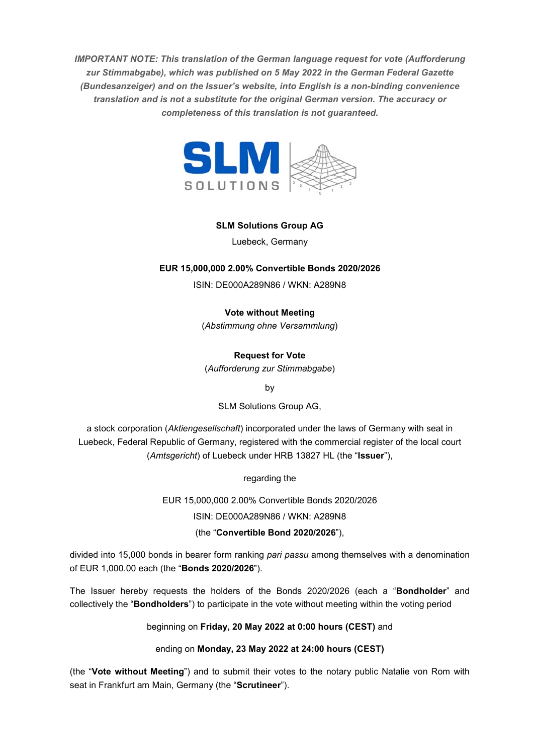*IMPORTANT NOTE: This translation of the German language request for vote (Aufforderung zur Stimmabgabe), which was published on 5 May 2022 in the German Federal Gazette (Bundesanzeiger) and on the Issuer's website, into English is a non-binding convenience translation and is not a substitute for the original German version. The accuracy or completeness of this translation is not guaranteed.* 



# **SLM Solutions Group AG**

Luebeck, Germany

# **EUR 15,000,000 2.00% Convertible Bonds 2020/2026**

ISIN: DE000A289N86 / WKN: A289N8

**Vote without Meeting** 

(*Abstimmung ohne Versammlung*)

# **Request for Vote**

(*Aufforderung zur Stimmabgabe*)

by

SLM Solutions Group AG,

a stock corporation (*Aktiengesellschaft*) incorporated under the laws of Germany with seat in Luebeck, Federal Republic of Germany, registered with the commercial register of the local court (*Amtsgericht*) of Luebeck under HRB 13827 HL (the "**Issuer**"),

regarding the

EUR 15,000,000 2.00% Convertible Bonds 2020/2026

ISIN: DE000A289N86 / WKN: A289N8

(the "**Convertible Bond 2020/2026**"),

divided into 15,000 bonds in bearer form ranking *pari passu* among themselves with a denomination of EUR 1,000.00 each (the "**Bonds 2020/2026**").

The Issuer hereby requests the holders of the Bonds 2020/2026 (each a "**Bondholder**" and collectively the "**Bondholders**") to participate in the vote without meeting within the voting period

beginning on **Friday, 20 May 2022 at 0:00 hours (CEST)** and

ending on **Monday, 23 May 2022 at 24:00 hours (CEST)** 

(the "**Vote without Meeting**") and to submit their votes to the notary public Natalie von Rom with seat in Frankfurt am Main, Germany (the "**Scrutineer**").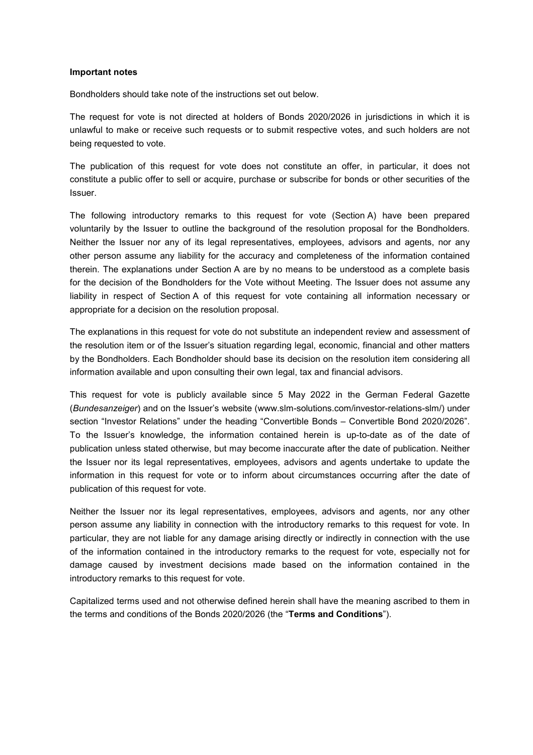#### **Important notes**

Bondholders should take note of the instructions set out below.

The request for vote is not directed at holders of Bonds 2020/2026 in jurisdictions in which it is unlawful to make or receive such requests or to submit respective votes, and such holders are not being requested to vote.

The publication of this request for vote does not constitute an offer, in particular, it does not constitute a public offer to sell or acquire, purchase or subscribe for bonds or other securities of the Issuer.

The following introductory remarks to this request for vote (Section A) have been prepared voluntarily by the Issuer to outline the background of the resolution proposal for the Bondholders. Neither the Issuer nor any of its legal representatives, employees, advisors and agents, nor any other person assume any liability for the accuracy and completeness of the information contained therein. The explanations under Section A are by no means to be understood as a complete basis for the decision of the Bondholders for the Vote without Meeting. The Issuer does not assume any liability in respect of Section A of this request for vote containing all information necessary or appropriate for a decision on the resolution proposal.

The explanations in this request for vote do not substitute an independent review and assessment of the resolution item or of the Issuer's situation regarding legal, economic, financial and other matters by the Bondholders. Each Bondholder should base its decision on the resolution item considering all information available and upon consulting their own legal, tax and financial advisors.

This request for vote is publicly available since 5 May 2022 in the German Federal Gazette (*Bundesanzeiger*) and on the Issuer's website (www.slm-solutions.com/investor-relations-slm/) under section "Investor Relations" under the heading "Convertible Bonds – Convertible Bond 2020/2026". To the Issuer's knowledge, the information contained herein is up-to-date as of the date of publication unless stated otherwise, but may become inaccurate after the date of publication. Neither the Issuer nor its legal representatives, employees, advisors and agents undertake to update the information in this request for vote or to inform about circumstances occurring after the date of publication of this request for vote.

Neither the Issuer nor its legal representatives, employees, advisors and agents, nor any other person assume any liability in connection with the introductory remarks to this request for vote. In particular, they are not liable for any damage arising directly or indirectly in connection with the use of the information contained in the introductory remarks to the request for vote, especially not for damage caused by investment decisions made based on the information contained in the introductory remarks to this request for vote.

Capitalized terms used and not otherwise defined herein shall have the meaning ascribed to them in the terms and conditions of the Bonds 2020/2026 (the "**Terms and Conditions**").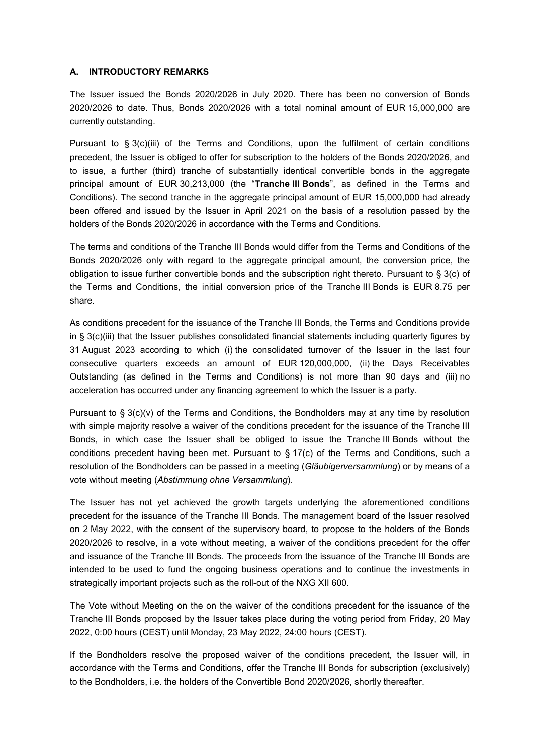### **A. INTRODUCTORY REMARKS**

The Issuer issued the Bonds 2020/2026 in July 2020. There has been no conversion of Bonds 2020/2026 to date. Thus, Bonds 2020/2026 with a total nominal amount of EUR 15,000,000 are currently outstanding.

Pursuant to § 3(c)(iii) of the Terms and Conditions, upon the fulfilment of certain conditions precedent, the Issuer is obliged to offer for subscription to the holders of the Bonds 2020/2026, and to issue, a further (third) tranche of substantially identical convertible bonds in the aggregate principal amount of EUR 30,213,000 (the "**Tranche III Bonds**", as defined in the Terms and Conditions). The second tranche in the aggregate principal amount of EUR 15,000,000 had already been offered and issued by the Issuer in April 2021 on the basis of a resolution passed by the holders of the Bonds 2020/2026 in accordance with the Terms and Conditions.

The terms and conditions of the Tranche III Bonds would differ from the Terms and Conditions of the Bonds 2020/2026 only with regard to the aggregate principal amount, the conversion price, the obligation to issue further convertible bonds and the subscription right thereto. Pursuant to § 3(c) of the Terms and Conditions, the initial conversion price of the Tranche III Bonds is EUR 8.75 per share.

As conditions precedent for the issuance of the Tranche III Bonds, the Terms and Conditions provide in § 3(c)(iii) that the Issuer publishes consolidated financial statements including quarterly figures by 31 August 2023 according to which (i) the consolidated turnover of the Issuer in the last four consecutive quarters exceeds an amount of EUR 120,000,000, (ii) the Days Receivables Outstanding (as defined in the Terms and Conditions) is not more than 90 days and (iii) no acceleration has occurred under any financing agreement to which the Issuer is a party.

Pursuant to § 3(c)(v) of the Terms and Conditions, the Bondholders may at any time by resolution with simple majority resolve a waiver of the conditions precedent for the issuance of the Tranche III Bonds, in which case the Issuer shall be obliged to issue the Tranche III Bonds without the conditions precedent having been met. Pursuant to  $\S 17(c)$  of the Terms and Conditions, such a resolution of the Bondholders can be passed in a meeting (*Gläubigerversammlung*) or by means of a vote without meeting (*Abstimmung ohne Versammlung*).

The Issuer has not yet achieved the growth targets underlying the aforementioned conditions precedent for the issuance of the Tranche III Bonds. The management board of the Issuer resolved on 2 May 2022, with the consent of the supervisory board, to propose to the holders of the Bonds 2020/2026 to resolve, in a vote without meeting, a waiver of the conditions precedent for the offer and issuance of the Tranche III Bonds. The proceeds from the issuance of the Tranche III Bonds are intended to be used to fund the ongoing business operations and to continue the investments in strategically important projects such as the roll-out of the NXG XII 600.

The Vote without Meeting on the on the waiver of the conditions precedent for the issuance of the Tranche III Bonds proposed by the Issuer takes place during the voting period from Friday, 20 May 2022, 0:00 hours (CEST) until Monday, 23 May 2022, 24:00 hours (CEST).

If the Bondholders resolve the proposed waiver of the conditions precedent, the Issuer will, in accordance with the Terms and Conditions, offer the Tranche III Bonds for subscription (exclusively) to the Bondholders, i.e. the holders of the Convertible Bond 2020/2026, shortly thereafter.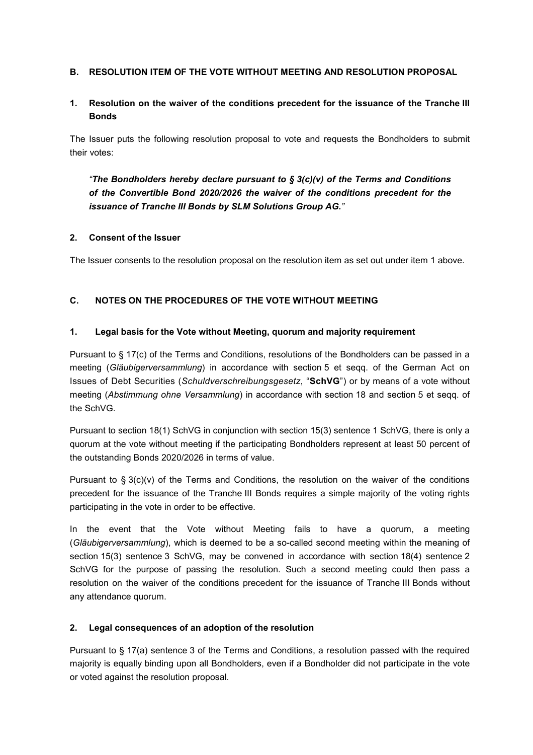# **B. RESOLUTION ITEM OF THE VOTE WITHOUT MEETING AND RESOLUTION PROPOSAL**

# **1. Resolution on the waiver of the conditions precedent for the issuance of the Tranche III Bonds**

The Issuer puts the following resolution proposal to vote and requests the Bondholders to submit their votes:

*"The Bondholders hereby declare pursuant to § 3(c)(v) of the Terms and Conditions of the Convertible Bond 2020/2026 the waiver of the conditions precedent for the issuance of Tranche III Bonds by SLM Solutions Group AG."*

### **2. Consent of the Issuer**

The Issuer consents to the resolution proposal on the resolution item as set out under item 1 above.

# **C. NOTES ON THE PROCEDURES OF THE VOTE WITHOUT MEETING**

### **1. Legal basis for the Vote without Meeting, quorum and majority requirement**

Pursuant to § 17(c) of the Terms and Conditions, resolutions of the Bondholders can be passed in a meeting (*Gläubigerversammlung*) in accordance with section 5 et seqq. of the German Act on Issues of Debt Securities (*Schuldverschreibungsgesetz*, "**SchVG**") or by means of a vote without meeting (*Abstimmung ohne Versammlung*) in accordance with section 18 and section 5 et seqq. of the SchVG.

Pursuant to section 18(1) SchVG in conjunction with section 15(3) sentence 1 SchVG, there is only a quorum at the vote without meeting if the participating Bondholders represent at least 50 percent of the outstanding Bonds 2020/2026 in terms of value.

Pursuant to  $\S 3(c)(y)$  of the Terms and Conditions, the resolution on the waiver of the conditions precedent for the issuance of the Tranche III Bonds requires a simple majority of the voting rights participating in the vote in order to be effective.

In the event that the Vote without Meeting fails to have a quorum, a meeting (*Gläubigerversammlung*), which is deemed to be a so-called second meeting within the meaning of section 15(3) sentence 3 SchVG, may be convened in accordance with section 18(4) sentence 2 SchVG for the purpose of passing the resolution. Such a second meeting could then pass a resolution on the waiver of the conditions precedent for the issuance of Tranche III Bonds without any attendance quorum.

### **2. Legal consequences of an adoption of the resolution**

Pursuant to § 17(a) sentence 3 of the Terms and Conditions, a resolution passed with the required majority is equally binding upon all Bondholders, even if a Bondholder did not participate in the vote or voted against the resolution proposal.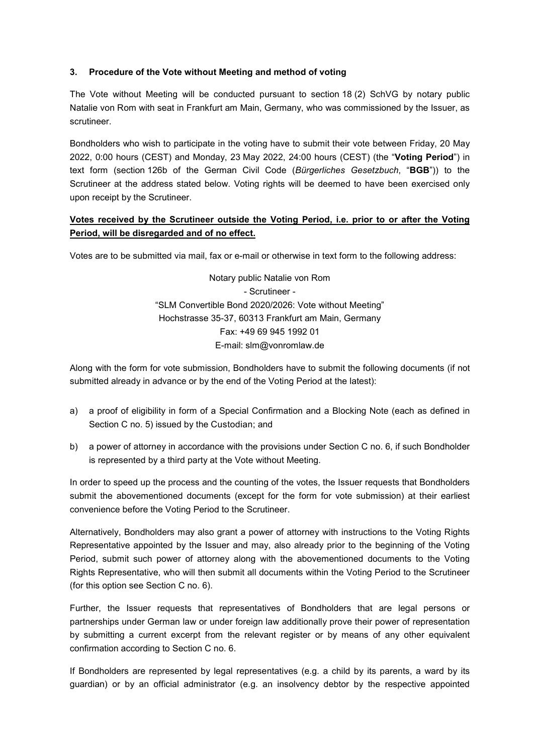# **3. Procedure of the Vote without Meeting and method of voting**

The Vote without Meeting will be conducted pursuant to section 18 (2) SchVG by notary public Natalie von Rom with seat in Frankfurt am Main, Germany, who was commissioned by the Issuer, as scrutineer.

Bondholders who wish to participate in the voting have to submit their vote between Friday, 20 May 2022, 0:00 hours (CEST) and Monday, 23 May 2022, 24:00 hours (CEST) (the "**Voting Period**") in text form (section 126b of the German Civil Code (*Bürgerliches Gesetzbuch*, "**BGB**")) to the Scrutineer at the address stated below. Voting rights will be deemed to have been exercised only upon receipt by the Scrutineer.

# **Votes received by the Scrutineer outside the Voting Period, i.e. prior to or after the Voting Period, will be disregarded and of no effect.**

Votes are to be submitted via mail, fax or e-mail or otherwise in text form to the following address:

Notary public Natalie von Rom - Scrutineer - "SLM Convertible Bond 2020/2026: Vote without Meeting" Hochstrasse 35-37, 60313 Frankfurt am Main, Germany Fax: +49 69 945 1992 01 E-mail: slm@vonromlaw.de

Along with the form for vote submission, Bondholders have to submit the following documents (if not submitted already in advance or by the end of the Voting Period at the latest):

- a) a proof of eligibility in form of a Special Confirmation and a Blocking Note (each as defined in Section C no. 5) issued by the Custodian; and
- b) a power of attorney in accordance with the provisions under Section C no. 6, if such Bondholder is represented by a third party at the Vote without Meeting.

In order to speed up the process and the counting of the votes, the Issuer requests that Bondholders submit the abovementioned documents (except for the form for vote submission) at their earliest convenience before the Voting Period to the Scrutineer.

Alternatively, Bondholders may also grant a power of attorney with instructions to the Voting Rights Representative appointed by the Issuer and may, also already prior to the beginning of the Voting Period, submit such power of attorney along with the abovementioned documents to the Voting Rights Representative, who will then submit all documents within the Voting Period to the Scrutineer (for this option see Section C no. 6).

Further, the Issuer requests that representatives of Bondholders that are legal persons or partnerships under German law or under foreign law additionally prove their power of representation by submitting a current excerpt from the relevant register or by means of any other equivalent confirmation according to Section C no. 6.

If Bondholders are represented by legal representatives (e.g. a child by its parents, a ward by its guardian) or by an official administrator (e.g. an insolvency debtor by the respective appointed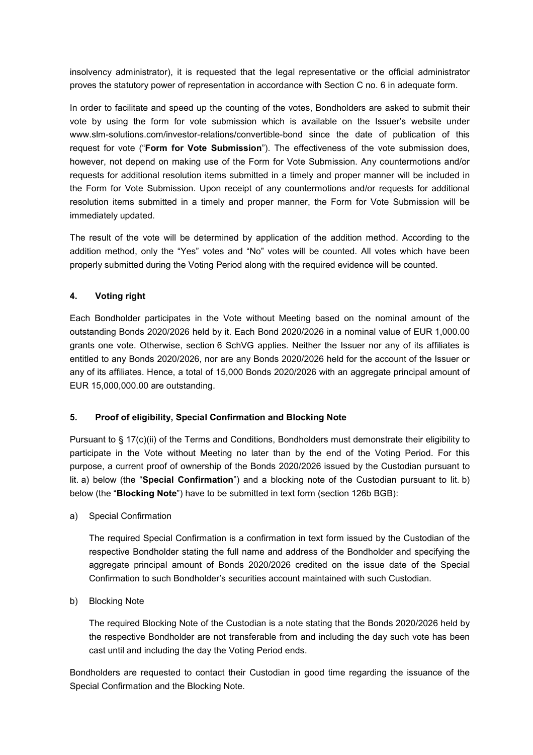insolvency administrator), it is requested that the legal representative or the official administrator proves the statutory power of representation in accordance with Section C no. 6 in adequate form.

In order to facilitate and speed up the counting of the votes, Bondholders are asked to submit their vote by using the form for vote submission which is available on the Issuer's website under www.slm-solutions.com/investor-relations/convertible-bond since the date of publication of this request for vote ("**Form for Vote Submission**"). The effectiveness of the vote submission does, however, not depend on making use of the Form for Vote Submission. Any countermotions and/or requests for additional resolution items submitted in a timely and proper manner will be included in the Form for Vote Submission. Upon receipt of any countermotions and/or requests for additional resolution items submitted in a timely and proper manner, the Form for Vote Submission will be immediately updated.

The result of the vote will be determined by application of the addition method. According to the addition method, only the "Yes" votes and "No" votes will be counted. All votes which have been properly submitted during the Voting Period along with the required evidence will be counted.

# **4. Voting right**

Each Bondholder participates in the Vote without Meeting based on the nominal amount of the outstanding Bonds 2020/2026 held by it. Each Bond 2020/2026 in a nominal value of EUR 1,000.00 grants one vote. Otherwise, section 6 SchVG applies. Neither the Issuer nor any of its affiliates is entitled to any Bonds 2020/2026, nor are any Bonds 2020/2026 held for the account of the Issuer or any of its affiliates. Hence, a total of 15,000 Bonds 2020/2026 with an aggregate principal amount of EUR 15,000,000.00 are outstanding.

### **5. Proof of eligibility, Special Confirmation and Blocking Note**

Pursuant to § 17(c)(ii) of the Terms and Conditions, Bondholders must demonstrate their eligibility to participate in the Vote without Meeting no later than by the end of the Voting Period. For this purpose, a current proof of ownership of the Bonds 2020/2026 issued by the Custodian pursuant to lit. a) below (the "**Special Confirmation**") and a blocking note of the Custodian pursuant to lit. b) below (the "**Blocking Note**") have to be submitted in text form (section 126b BGB):

a) Special Confirmation

The required Special Confirmation is a confirmation in text form issued by the Custodian of the respective Bondholder stating the full name and address of the Bondholder and specifying the aggregate principal amount of Bonds 2020/2026 credited on the issue date of the Special Confirmation to such Bondholder's securities account maintained with such Custodian.

b) Blocking Note

The required Blocking Note of the Custodian is a note stating that the Bonds 2020/2026 held by the respective Bondholder are not transferable from and including the day such vote has been cast until and including the day the Voting Period ends.

Bondholders are requested to contact their Custodian in good time regarding the issuance of the Special Confirmation and the Blocking Note.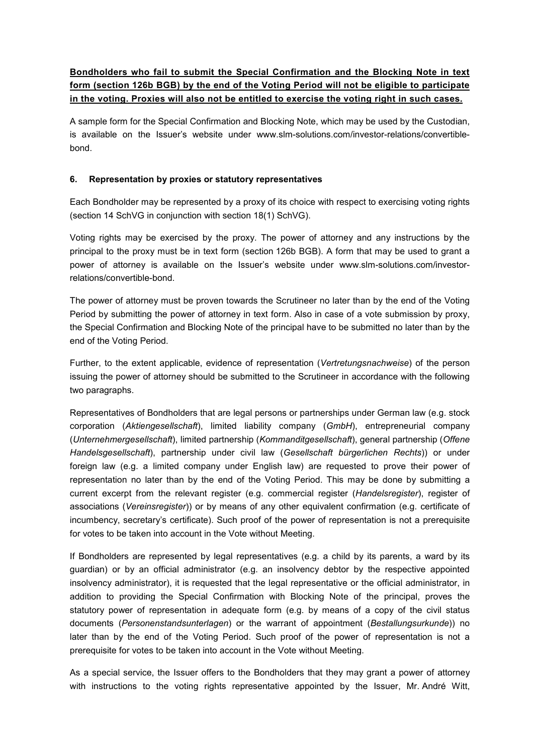# **Bondholders who fail to submit the Special Confirmation and the Blocking Note in text form (section 126b BGB) by the end of the Voting Period will not be eligible to participate in the voting. Proxies will also not be entitled to exercise the voting right in such cases.**

A sample form for the Special Confirmation and Blocking Note, which may be used by the Custodian, is available on the Issuer's website under www.slm-solutions.com/investor-relations/convertiblebond.

# **6. Representation by proxies or statutory representatives**

Each Bondholder may be represented by a proxy of its choice with respect to exercising voting rights (section 14 SchVG in conjunction with section 18(1) SchVG).

Voting rights may be exercised by the proxy. The power of attorney and any instructions by the principal to the proxy must be in text form (section 126b BGB). A form that may be used to grant a power of attorney is available on the Issuer's website under www.slm-solutions.com/investorrelations/convertible-bond.

The power of attorney must be proven towards the Scrutineer no later than by the end of the Voting Period by submitting the power of attorney in text form. Also in case of a vote submission by proxy, the Special Confirmation and Blocking Note of the principal have to be submitted no later than by the end of the Voting Period.

Further, to the extent applicable, evidence of representation (*Vertretungsnachweise*) of the person issuing the power of attorney should be submitted to the Scrutineer in accordance with the following two paragraphs.

Representatives of Bondholders that are legal persons or partnerships under German law (e.g. stock corporation (*Aktiengesellschaft*), limited liability company (*GmbH*), entrepreneurial company (*Unternehmergesellschaft*), limited partnership (*Kommanditgesellschaft*), general partnership (*Offene Handelsgesellschaft*), partnership under civil law (*Gesellschaft bürgerlichen Rechts*)) or under foreign law (e.g. a limited company under English law) are requested to prove their power of representation no later than by the end of the Voting Period. This may be done by submitting a current excerpt from the relevant register (e.g. commercial register (*Handelsregister*), register of associations (*Vereinsregister*)) or by means of any other equivalent confirmation (e.g. certificate of incumbency, secretary's certificate). Such proof of the power of representation is not a prerequisite for votes to be taken into account in the Vote without Meeting.

If Bondholders are represented by legal representatives (e.g. a child by its parents, a ward by its guardian) or by an official administrator (e.g. an insolvency debtor by the respective appointed insolvency administrator), it is requested that the legal representative or the official administrator, in addition to providing the Special Confirmation with Blocking Note of the principal, proves the statutory power of representation in adequate form (e.g. by means of a copy of the civil status documents (*Personenstandsunterlagen*) or the warrant of appointment (*Bestallungsurkunde*)) no later than by the end of the Voting Period. Such proof of the power of representation is not a prerequisite for votes to be taken into account in the Vote without Meeting.

As a special service, the Issuer offers to the Bondholders that they may grant a power of attorney with instructions to the voting rights representative appointed by the Issuer, Mr. André Witt,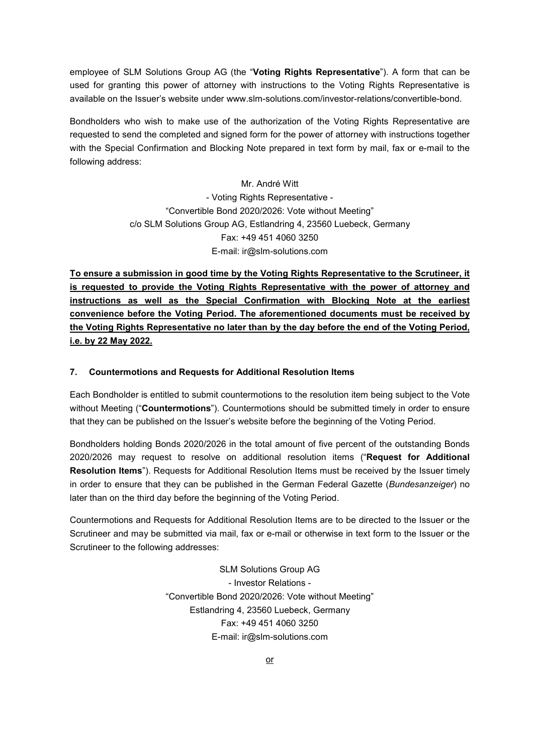employee of SLM Solutions Group AG (the "**Voting Rights Representative**"). A form that can be used for granting this power of attorney with instructions to the Voting Rights Representative is available on the Issuer's website under www.slm-solutions.com/investor-relations/convertible-bond.

Bondholders who wish to make use of the authorization of the Voting Rights Representative are requested to send the completed and signed form for the power of attorney with instructions together with the Special Confirmation and Blocking Note prepared in text form by mail, fax or e-mail to the following address:

> Mr. André Witt - Voting Rights Representative - "Convertible Bond 2020/2026: Vote without Meeting" c/o SLM Solutions Group AG, Estlandring 4, 23560 Luebeck, Germany Fax: +49 451 4060 3250 E-mail: ir@slm-solutions.com

**To ensure a submission in good time by the Voting Rights Representative to the Scrutineer, it is requested to provide the Voting Rights Representative with the power of attorney and instructions as well as the Special Confirmation with Blocking Note at the earliest convenience before the Voting Period. The aforementioned documents must be received by the Voting Rights Representative no later than by the day before the end of the Voting Period, i.e. by 22 May 2022.** 

### **7. Countermotions and Requests for Additional Resolution Items**

Each Bondholder is entitled to submit countermotions to the resolution item being subject to the Vote without Meeting ("**Countermotions**"). Countermotions should be submitted timely in order to ensure that they can be published on the Issuer's website before the beginning of the Voting Period.

Bondholders holding Bonds 2020/2026 in the total amount of five percent of the outstanding Bonds 2020/2026 may request to resolve on additional resolution items ("**Request for Additional Resolution Items**"). Requests for Additional Resolution Items must be received by the Issuer timely in order to ensure that they can be published in the German Federal Gazette (*Bundesanzeiger*) no later than on the third day before the beginning of the Voting Period.

Countermotions and Requests for Additional Resolution Items are to be directed to the Issuer or the Scrutineer and may be submitted via mail, fax or e-mail or otherwise in text form to the Issuer or the Scrutineer to the following addresses:

> SLM Solutions Group AG - Investor Relations - "Convertible Bond 2020/2026: Vote without Meeting" Estlandring 4, 23560 Luebeck, Germany Fax: +49 451 4060 3250 E-mail: ir@slm-solutions.com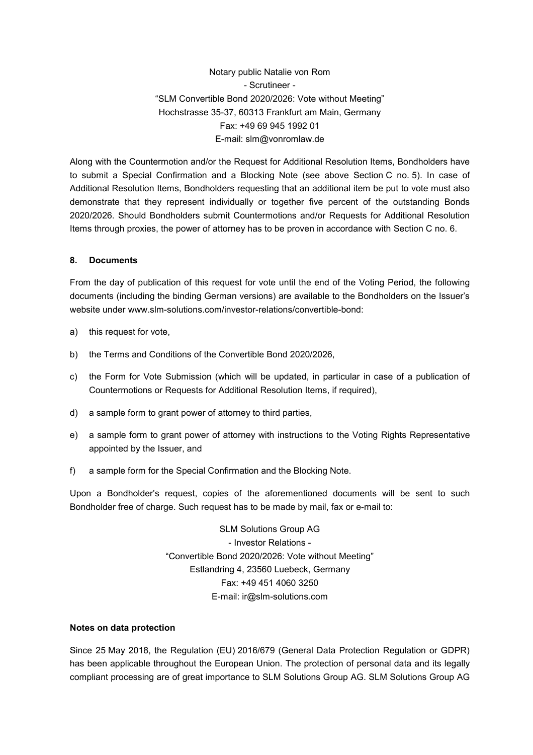Notary public Natalie von Rom - Scrutineer - "SLM Convertible Bond 2020/2026: Vote without Meeting" Hochstrasse 35-37, 60313 Frankfurt am Main, Germany Fax: +49 69 945 1992 01 E-mail: slm@vonromlaw.de

Along with the Countermotion and/or the Request for Additional Resolution Items, Bondholders have to submit a Special Confirmation and a Blocking Note (see above Section C no. 5). In case of Additional Resolution Items, Bondholders requesting that an additional item be put to vote must also demonstrate that they represent individually or together five percent of the outstanding Bonds 2020/2026. Should Bondholders submit Countermotions and/or Requests for Additional Resolution Items through proxies, the power of attorney has to be proven in accordance with Section C no. 6.

### **8. Documents**

From the day of publication of this request for vote until the end of the Voting Period, the following documents (including the binding German versions) are available to the Bondholders on the Issuer's website under www.slm-solutions.com/investor-relations/convertible-bond:

- a) this request for vote,
- b) the Terms and Conditions of the Convertible Bond 2020/2026,
- c) the Form for Vote Submission (which will be updated, in particular in case of a publication of Countermotions or Requests for Additional Resolution Items, if required),
- d) a sample form to grant power of attorney to third parties,
- e) a sample form to grant power of attorney with instructions to the Voting Rights Representative appointed by the Issuer, and
- f) a sample form for the Special Confirmation and the Blocking Note.

Upon a Bondholder's request, copies of the aforementioned documents will be sent to such Bondholder free of charge. Such request has to be made by mail, fax or e-mail to:

> SLM Solutions Group AG - Investor Relations - "Convertible Bond 2020/2026: Vote without Meeting" Estlandring 4, 23560 Luebeck, Germany Fax: +49 451 4060 3250 E-mail: ir@slm-solutions.com

#### **Notes on data protection**

Since 25 May 2018, the Regulation (EU) 2016/679 (General Data Protection Regulation or GDPR) has been applicable throughout the European Union. The protection of personal data and its legally compliant processing are of great importance to SLM Solutions Group AG. SLM Solutions Group AG